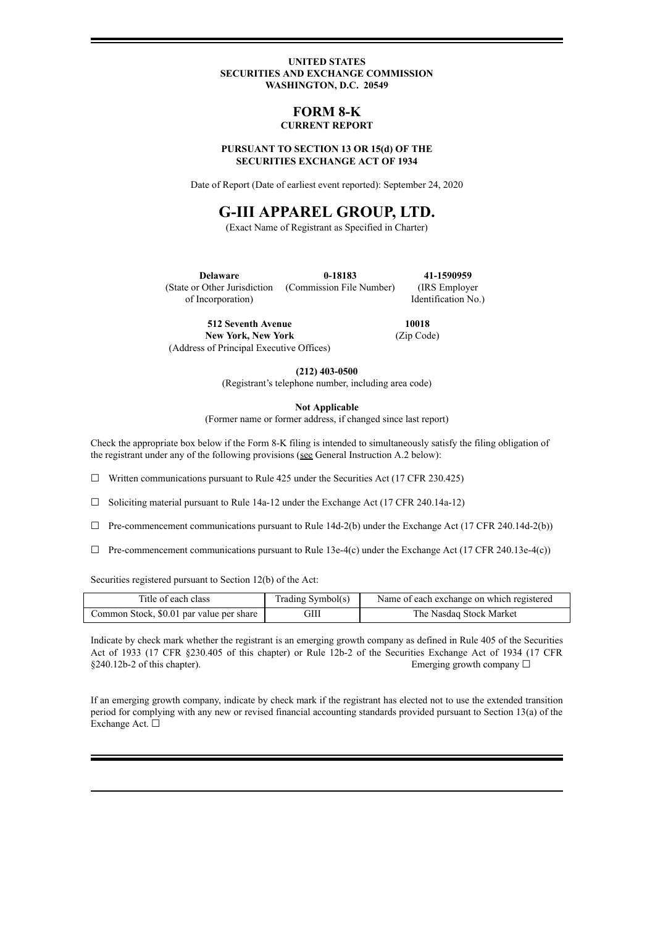### **UNITED STATES SECURITIES AND EXCHANGE COMMISSION WASHINGTON, D.C. 20549**

## **FORM 8-K CURRENT REPORT**

### **PURSUANT TO SECTION 13 OR 15(d) OF THE SECURITIES EXCHANGE ACT OF 1934**

Date of Report (Date of earliest event reported): September 24, 2020

# **G-III APPAREL GROUP, LTD.**

(Exact Name of Registrant as Specified in Charter)

**Delaware** (State or Other Jurisdiction of Incorporation) **0-18183** (Commission File Number) **41-1590959** (IRS Employer Identification No.)

**512 Seventh Avenue New York, New York** (Address of Principal Executive Offices)

**10018** (Zip Code)

**(212) 403-0500**

(Registrant's telephone number, including area code)

**Not Applicable**

(Former name or former address, if changed since last report)

Check the appropriate box below if the Form 8-K filing is intended to simultaneously satisfy the filing obligation of the registrant under any of the following provisions (see General Instruction A.2 below):

 $\Box$  Written communications pursuant to Rule 425 under the Securities Act (17 CFR 230.425)

☐ Soliciting material pursuant to Rule 14a-12 under the Exchange Act (17 CFR 240.14a-12)

- $\Box$  Pre-commencement communications pursuant to Rule 14d-2(b) under the Exchange Act (17 CFR 240.14d-2(b))
- $\Box$  Pre-commencement communications pursuant to Rule 13e-4(c) under the Exchange Act (17 CFR 240.13e-4(c))

Securities registered pursuant to Section 12(b) of the Act:

| Title of each class                      | Trading Symbol(s) | Name of each exchange on which registered |
|------------------------------------------|-------------------|-------------------------------------------|
| Common Stock, \$0.01 par value per share | GIII              | The Nasdaq Stock Market                   |

Indicate by check mark whether the registrant is an emerging growth company as defined in Rule 405 of the Securities Act of 1933 (17 CFR §230.405 of this chapter) or Rule 12b-2 of the Securities Exchange Act of 1934 (17 CFR  $§240.12b-2$  of this chapter). Emerging growth company  $□$ 

If an emerging growth company, indicate by check mark if the registrant has elected not to use the extended transition period for complying with any new or revised financial accounting standards provided pursuant to Section 13(a) of the Exchange Act. □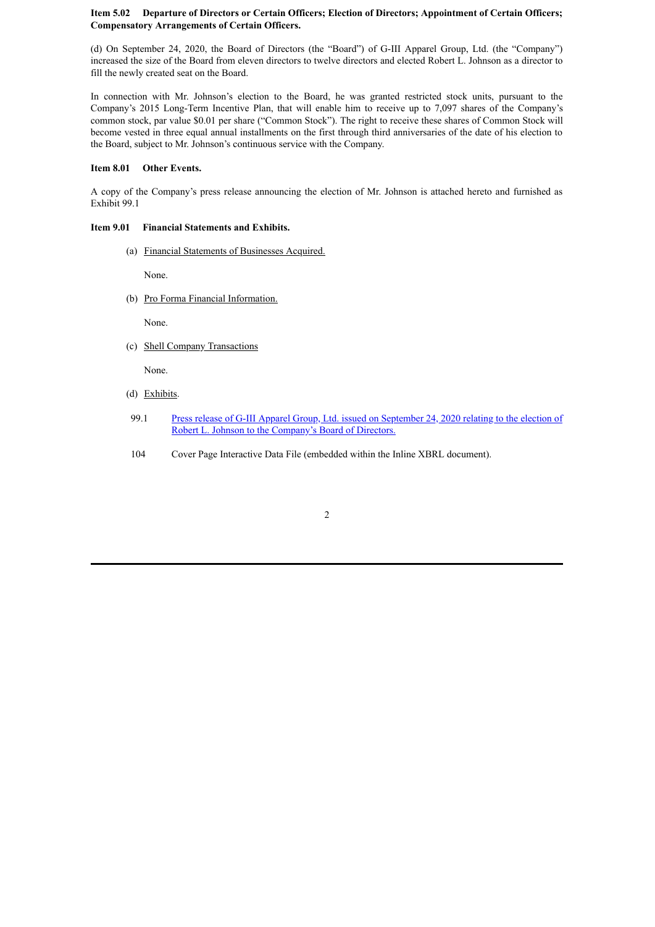### **Item 5.02 Departure of Directors or Certain Officers; Election of Directors; Appointment of Certain Officers; Compensatory Arrangements of Certain Officers.**

(d) On September 24, 2020, the Board of Directors (the "Board") of G-III Apparel Group, Ltd. (the "Company") increased the size of the Board from eleven directors to twelve directors and elected Robert L. Johnson as a director to fill the newly created seat on the Board.

In connection with Mr. Johnson's election to the Board, he was granted restricted stock units, pursuant to the Company's 2015 Long-Term Incentive Plan, that will enable him to receive up to 7,097 shares of the Company's common stock, par value \$0.01 per share ("Common Stock"). The right to receive these shares of Common Stock will become vested in three equal annual installments on the first through third anniversaries of the date of his election to the Board, subject to Mr. Johnson's continuous service with the Company.

### **Item 8.01 Other Events.**

A copy of the Company's press release announcing the election of Mr. Johnson is attached hereto and furnished as Exhibit 99.1

### **Item 9.01 Financial Statements and Exhibits.**

(a) Financial Statements of Businesses Acquired.

None.

(b) Pro Forma Financial Information.

None.

(c) Shell Company Transactions

None.

- (d) Exhibits.
- 99.1 Press release of G-III Apparel Group, Ltd. issued on September 24, 2020 relating to the election of Robert L. Johnson to the [Company's](#page-4-0) Board of Directors.
- 104 Cover Page Interactive Data File (embedded within the Inline XBRL document).

2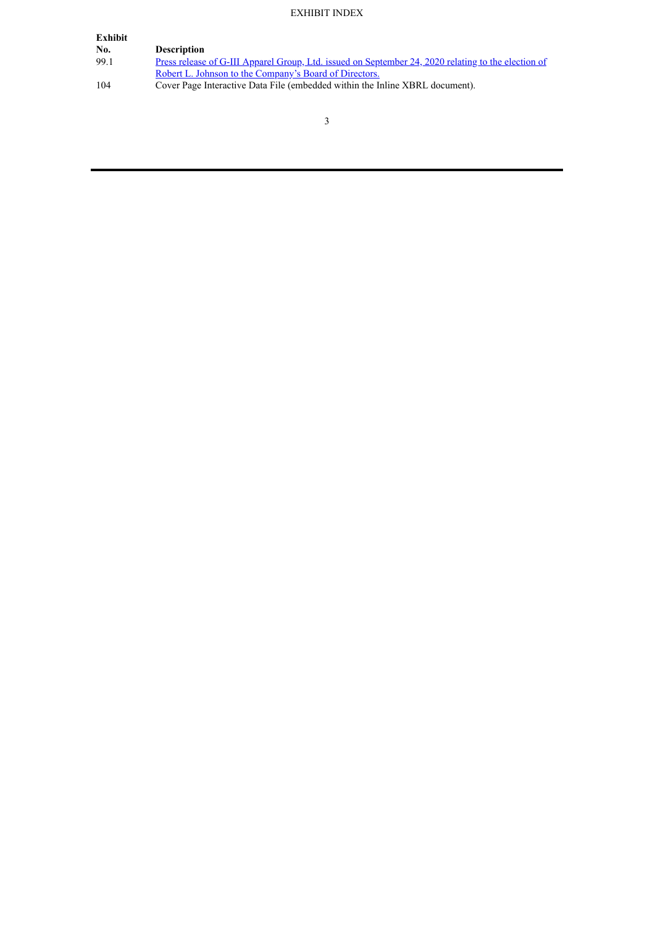# EXHIBIT INDEX

| Exhibit |                                                                                                     |
|---------|-----------------------------------------------------------------------------------------------------|
| No.     | <b>Description</b>                                                                                  |
| 99.1    | Press release of G-III Apparel Group, Ltd. issued on September 24, 2020 relating to the election of |
|         | Robert L. Johnson to the Company's Board of Directors.                                              |
| 104     | Cover Page Interactive Data File (embedded within the Inline XBRL document).                        |
|         |                                                                                                     |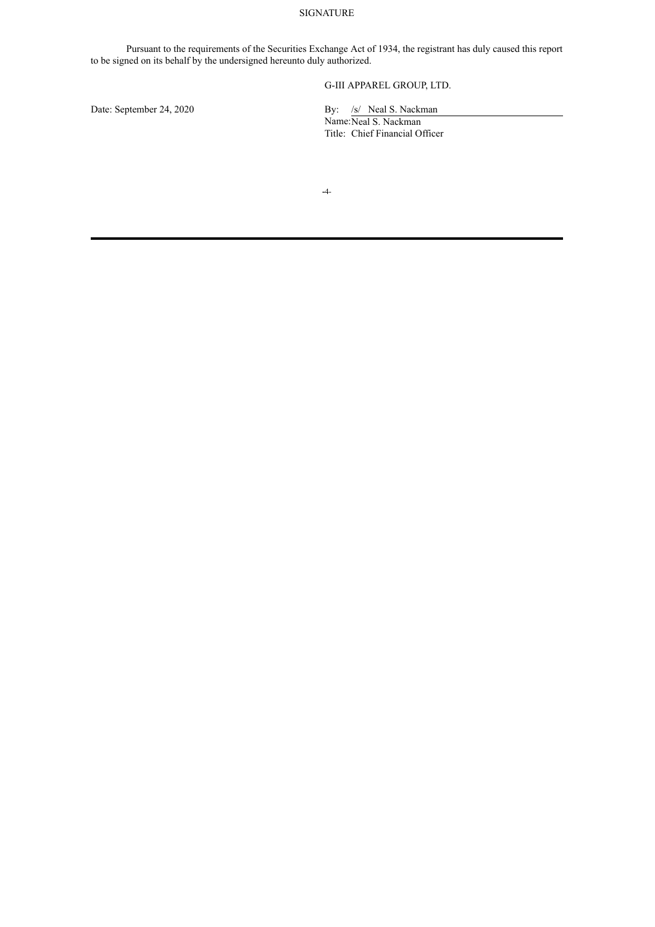### SIGNATURE

Pursuant to the requirements of the Securities Exchange Act of 1934, the registrant has duly caused this report to be signed on its behalf by the undersigned hereunto duly authorized.

# G-III APPAREL GROUP, LTD.

Date: September 24, 2020 By: /s/ Neal S. Nackman

Name:Neal S. Nackman Title: Chief Financial Officer

**-**4-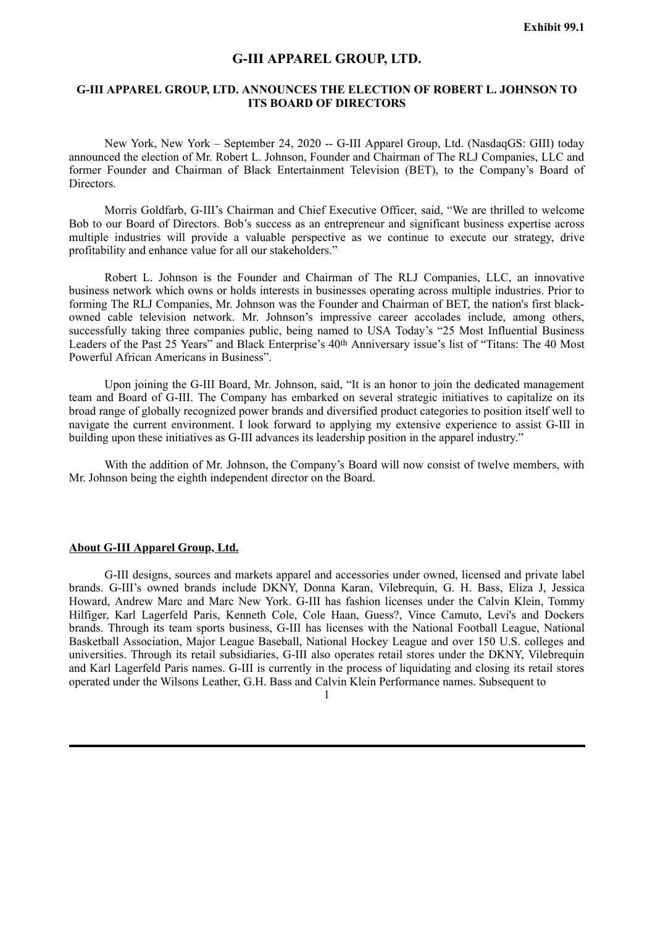# **G-III APPAREL GROUP, LTD.**

# <span id="page-4-0"></span>**G-III APPAREL GROUP, LTD. ANNOUNCES THE ELECTION OF ROBERT L. JOHNSON TO ITS BOARD OF DIRECTORS**

New York, New York – September 24, 2020 -- G-III Apparel Group, Ltd. (NasdaqGS: GIII) today announced the election of Mr. Robert L. Johnson, Founder and Chairman of The RLJ Companies, LLC and former Founder and Chairman of Black Entertainment Television (BET), to the Company's Board of Directors.

Morris Goldfarb, G-III's Chairman and Chief Executive Officer, said, "We are thrilled to welcome Bob to our Board of Directors. Bob's success as an entrepreneur and significant business expertise across multiple industries will provide a valuable perspective as we continue to execute our strategy, drive profitability and enhance value for all our stakeholders."

Robert L. Johnson is the Founder and Chairman of The RLJ Companies, LLC, an innovative business network which owns or holds interests in businesses operating across multiple industries. Prior to forming The RLJ Companies, Mr. Johnson was the Founder and Chairman of BET, the nation's first blackowned cable television network. Mr. Johnson's impressive career accolades include, among others, successfully taking three companies public, being named to USA Today's "25 Most Influential Business Leaders of the Past 25 Years" and Black Enterprise's 40th Anniversary issue's list of "Titans: The 40 Most Powerful African Americans in Business".

Upon joining the G-III Board, Mr. Johnson, said, "It is an honor to join the dedicated management team and Board of G-III. The Company has embarked on several strategic initiatives to capitalize on its broad range of globally recognized power brands and diversified product categories to position itself well to navigate the current environment. I look forward to applying my extensive experience to assist G-III in building upon these initiatives as G-III advances its leadership position in the apparel industry."

With the addition of Mr. Johnson, the Company's Board will now consist of twelve members, with Mr. Johnson being the eighth independent director on the Board.

# **About G-III Apparel Group, Ltd.**

G-III designs, sources and markets apparel and accessories under owned, licensed and private label brands. G-III's owned brands include DKNY, Donna Karan, Vilebrequin, G. H. Bass, Eliza J, Jessica Howard, Andrew Marc and Marc New York. G-III has fashion licenses under the Calvin Klein, Tommy Hilfiger, Karl Lagerfeld Paris, Kenneth Cole, Cole Haan, Guess?, Vince Camuto, Levi's and Dockers brands. Through its team sports business, G-III has licenses with the National Football League, National Basketball Association, Major League Baseball, National Hockey League and over 150 U.S. colleges and universities. Through its retail subsidiaries, G-III also operates retail stores under the DKNY, Vilebrequin and Karl Lagerfeld Paris names. G-III is currently in the process of liquidating and closing its retail stores operated under the Wilsons Leather, G.H. Bass and Calvin Klein Performance names. Subsequent to

1